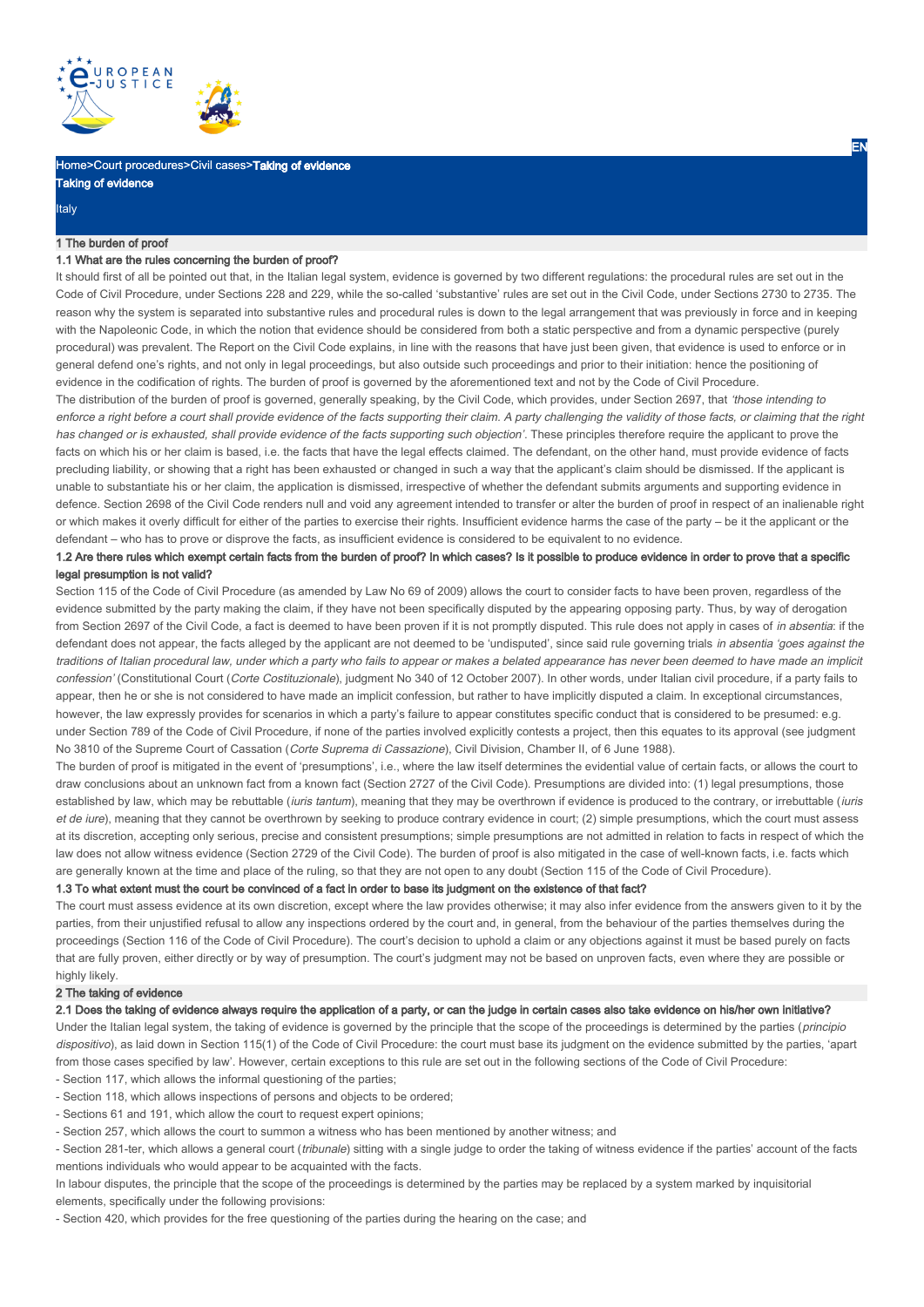

Home>Court procedures>Civil cases>Taking of evidence

| יָו ועזואַ ו |  |  |
|--------------|--|--|
|              |  |  |
| talv         |  |  |

## 1 The burden of proof

of evidence

### 1.1 What are the rules concerning the burden of proof?

It should first of all be pointed out that, in the Italian legal system, evidence is governed by two different regulations: the procedural rules are set out in the Code of Civil Procedure, under Sections 228 and 229, while the so-called 'substantive' rules are set out in the Civil Code, under Sections 2730 to 2735. The reason why the system is separated into substantive rules and procedural rules is down to the legal arrangement that was previously in force and in keeping with the Napoleonic Code, in which the notion that evidence should be considered from both a static perspective and from a dynamic perspective (purely procedural) was prevalent. The Report on the Civil Code explains, in line with the reasons that have just been given, that evidence is used to enforce or in general defend one's rights, and not only in legal proceedings, but also outside such proceedings and prior to their initiation: hence the positioning of evidence in the codification of rights. The burden of proof is governed by the aforementioned text and not by the Code of Civil Procedure.

The distribution of the burden of proof is governed, generally speaking, by the Civil Code, which provides, under Section 2697, that 'those intending to enforce a right before a court shall provide evidence of the facts supporting their claim. A party challenging the validity of those facts, or claiming that the right has changed or is exhausted, shall provide evidence of the facts supporting such objection'. These principles therefore require the applicant to prove the facts on which his or her claim is based, i.e. the facts that have the legal effects claimed. The defendant, on the other hand, must provide evidence of facts precluding liability, or showing that a right has been exhausted or changed in such a way that the applicant's claim should be dismissed. If the applicant is unable to substantiate his or her claim, the application is dismissed, irrespective of whether the defendant submits arguments and supporting evidence in defence. Section 2698 of the Civil Code renders null and void any agreement intended to transfer or alter the burden of proof in respect of an inalienable right or which makes it overly difficult for either of the parties to exercise their rights. Insufficient evidence harms the case of the party – be it the applicant or the defendant – who has to prove or disprove the facts, as insufficient evidence is considered to be equivalent to no evidence.

# 1.2 Are there rules which exempt certain facts from the burden of proof? In which cases? Is it possible to produce evidence in order to prove that a specific legal presumption is not valid?

Section 115 of the Code of Civil Procedure (as amended by Law No 69 of 2009) allows the court to consider facts to have been proven, regardless of the evidence submitted by the party making the claim, if they have not been specifically disputed by the appearing opposing party. Thus, by way of derogation from Section 2697 of the Civil Code, a fact is deemed to have been proven if it is not promptly disputed. This rule does not apply in cases of in absentia: if the defendant does not appear, the facts alleged by the applicant are not deemed to be 'undisputed', since said rule governing trials in absentia 'goes against the traditions of Italian procedural law, under which a party who fails to appear or makes a belated appearance has never been deemed to have made an implicit confession' (Constitutional Court (Corte Costituzionale), judgment No 340 of 12 October 2007). In other words, under Italian civil procedure, if a party fails to appear, then he or she is not considered to have made an implicit confession, but rather to have implicitly disputed a claim. In exceptional circumstances, however, the law expressly provides for scenarios in which a party's failure to appear constitutes specific conduct that is considered to be presumed: e.g. under Section 789 of the Code of Civil Procedure, if none of the parties involved explicitly contests a project, then this equates to its approval (see judgment No 3810 of the Supreme Court of Cassation (Corte Suprema di Cassazione), Civil Division, Chamber II, of 6 June 1988).

The burden of proof is mitigated in the event of 'presumptions', i.e., where the law itself determines the evidential value of certain facts, or allows the court to draw conclusions about an unknown fact from a known fact (Section 2727 of the Civil Code). Presumptions are divided into: (1) legal presumptions, those established by law, which may be rebuttable (iuris tantum), meaning that they may be overthrown if evidence is produced to the contrary, or irrebuttable (iuris et de iure), meaning that they cannot be overthrown by seeking to produce contrary evidence in court; (2) simple presumptions, which the court must assess at its discretion, accepting only serious, precise and consistent presumptions; simple presumptions are not admitted in relation to facts in respect of which the law does not allow witness evidence (Section 2729 of the Civil Code). The burden of proof is also mitigated in the case of well-known facts, i.e. facts which are generally known at the time and place of the ruling, so that they are not open to any doubt (Section 115 of the Code of Civil Procedure).

# 1.3 To what extent must the court be convinced of a fact in order to base its judgment on the existence of that fact?

The court must assess evidence at its own discretion, except where the law provides otherwise; it may also infer evidence from the answers given to it by the parties, from their unjustified refusal to allow any inspections ordered by the court and, in general, from the behaviour of the parties themselves during the proceedings (Section 116 of the Code of Civil Procedure). The court's decision to uphold a claim or any objections against it must be based purely on facts that are fully proven, either directly or by way of presumption. The court's judgment may not be based on unproven facts, even where they are possible or highly likely.

## 2 The taking of evidence

## 2.1 Does the taking of evidence always require the application of a party, or can the judge in certain cases also take evidence on his/her own initiative?

Under the Italian legal system, the taking of evidence is governed by the principle that the scope of the proceedings is determined by the parties (principio dispositivo), as laid down in Section 115(1) of the Code of Civil Procedure: the court must base its judgment on the evidence submitted by the parties, 'apart from those cases specified by law'. However, certain exceptions to this rule are set out in the following sections of the Code of Civil Procedure:

- Section 117, which allows the informal questioning of the parties; - Section 118, which allows inspections of persons and objects to be ordered;

- Sections 61 and 191, which allow the court to request expert opinions;

- Section 257, which allows the court to summon a witness who has been mentioned by another witness; and

- Section 281-ter, which allows a general court (tribunale) sitting with a single judge to order the taking of witness evidence if the parties' account of the facts mentions individuals who would appear to be acquainted with the facts.

In labour disputes, the principle that the scope of the proceedings is determined by the parties may be replaced by a system marked by inquisitorial elements, specifically under the following provisions:

- Section 420, which provides for the free questioning of the parties during the hearing on the case; and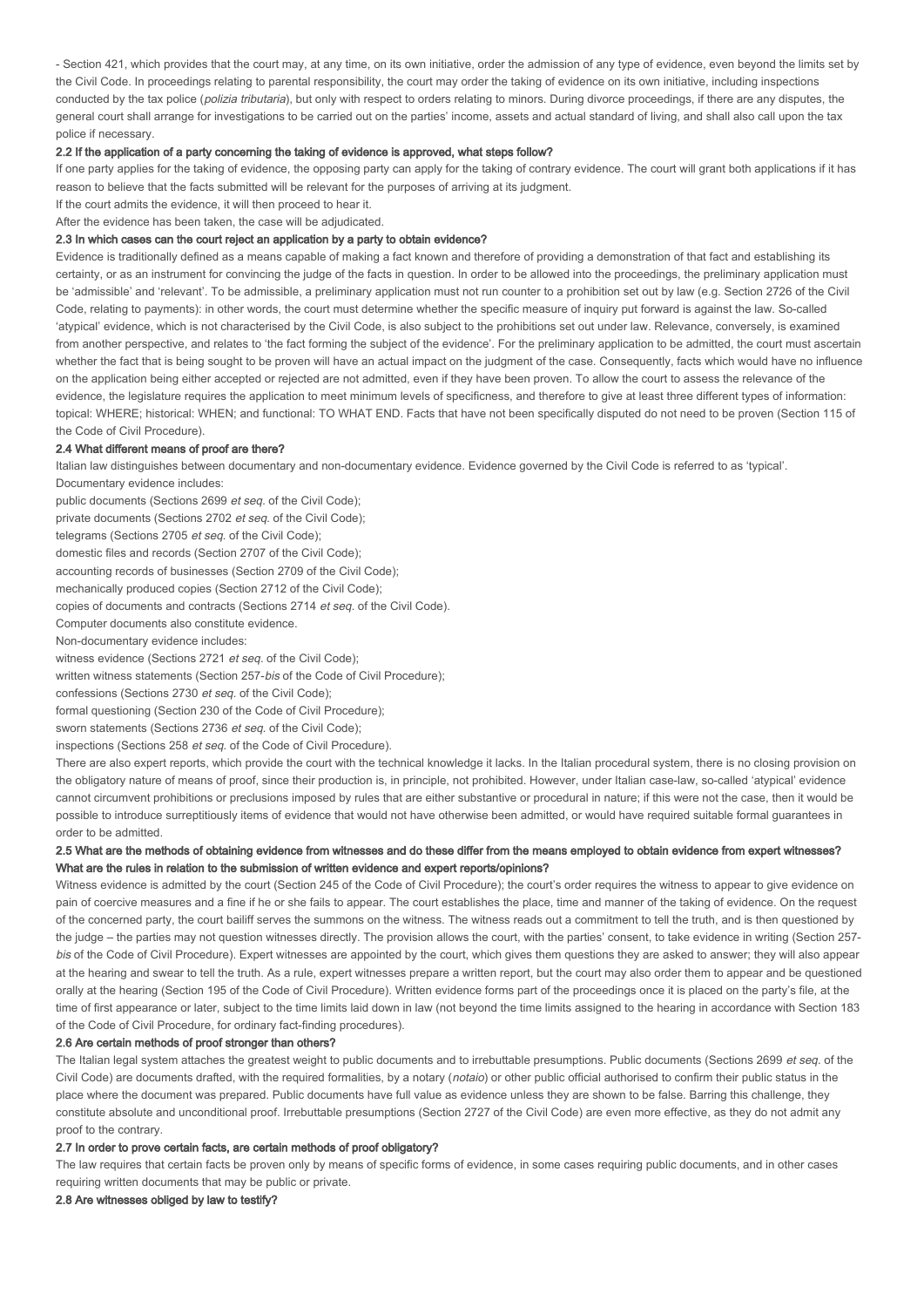- Section 421, which provides that the court may, at any time, on its own initiative, order the admission of any type of evidence, even beyond the limits set by the Civil Code. In proceedings relating to parental responsibility, the court may order the taking of evidence on its own initiative, including inspections conducted by the tax police (*polizia tributaria*), but only with respect to orders relating to minors. During divorce proceedings, if there are any disputes, the general court shall arrange for investigations to be carried out on the parties' income, assets and actual standard of living, and shall also call upon the tax police if necessary.

### 2.2 If the application of a party concerning the taking of evidence is approved, what steps follow?

If one party applies for the taking of evidence, the opposing party can apply for the taking of contrary evidence. The court will grant both applications if it has reason to believe that the facts submitted will be relevant for the purposes of arriving at its judgment.

If the court admits the evidence, it will then proceed to hear it.

After the evidence has been taken, the case will be adjudicated.

## 2.3 In which cases can the court reject an application by a party to obtain evidence?

Evidence is traditionally defined as a means capable of making a fact known and therefore of providing a demonstration of that fact and establishing its certainty, or as an instrument for convincing the judge of the facts in question. In order to be allowed into the proceedings, the preliminary application must be 'admissible' and 'relevant'. To be admissible, a preliminary application must not run counter to a prohibition set out by law (e.g. Section 2726 of the Civil Code, relating to payments): in other words, the court must determine whether the specific measure of inquiry put forward is against the law. So-called 'atypical' evidence, which is not characterised by the Civil Code, is also subject to the prohibitions set out under law. Relevance, conversely, is examined from another perspective, and relates to 'the fact forming the subject of the evidence'. For the preliminary application to be admitted, the court must ascertain whether the fact that is being sought to be proven will have an actual impact on the judgment of the case. Consequently, facts which would have no influence on the application being either accepted or rejected are not admitted, even if they have been proven. To allow the court to assess the relevance of the evidence, the legislature requires the application to meet minimum levels of specificness, and therefore to give at least three different types of information: topical: WHERE; historical: WHEN; and functional: TO WHAT END. Facts that have not been specifically disputed do not need to be proven (Section 115 of the Code of Civil Procedure).

### 2.4 What different means of proof are there?

Italian law distinguishes between documentary and non-documentary evidence. Evidence governed by the Civil Code is referred to as 'typical'. Documentary evidence includes:

public documents (Sections 2699 et seq. of the Civil Code);

private documents (Sections 2702 et seq. of the Civil Code);

telegrams (Sections 2705 et seq. of the Civil Code);

domestic files and records (Section 2707 of the Civil Code);

accounting records of businesses (Section 2709 of the Civil Code);

mechanically produced copies (Section 2712 of the Civil Code);

copies of documents and contracts (Sections 2714 et seq. of the Civil Code).

Computer documents also constitute evidence.

Non-documentary evidence includes:

witness evidence (Sections 2721 et seq. of the Civil Code);

written witness statements (Section 257-bis of the Code of Civil Procedure);

confessions (Sections 2730 et seq. of the Civil Code);

formal questioning (Section 230 of the Code of Civil Procedure);

sworn statements (Sections 2736 et seq. of the Civil Code);

inspections (Sections 258 et seq. of the Code of Civil Procedure).

There are also expert reports, which provide the court with the technical knowledge it lacks. In the Italian procedural system, there is no closing provision on the obligatory nature of means of proof, since their production is, in principle, not prohibited. However, under Italian case-law, so-called 'atypical' evidence cannot circumvent prohibitions or preclusions imposed by rules that are either substantive or procedural in nature; if this were not the case, then it would be possible to introduce surreptitiously items of evidence that would not have otherwise been admitted, or would have required suitable formal guarantees in order to be admitted.

# 2.5 What are the methods of obtaining evidence from witnesses and do these differ from the means employed to obtain evidence from expert witnesses? What are the rules in relation to the submission of written evidence and expert reports/opinions?

Witness evidence is admitted by the court (Section 245 of the Code of Civil Procedure); the court's order requires the witness to appear to give evidence on pain of coercive measures and a fine if he or she fails to appear. The court establishes the place, time and manner of the taking of evidence. On the request of the concerned party, the court bailiff serves the summons on the witness. The witness reads out a commitment to tell the truth, and is then questioned by the judge – the parties may not question witnesses directly. The provision allows the court, with the parties' consent, to take evidence in writing (Section 257 bis of the Code of Civil Procedure). Expert witnesses are appointed by the court, which gives them questions they are asked to answer; they will also appear at the hearing and swear to tell the truth. As a rule, expert witnesses prepare a written report, but the court may also order them to appear and be questioned orally at the hearing (Section 195 of the Code of Civil Procedure). Written evidence forms part of the proceedings once it is placed on the party's file, at the time of first appearance or later, subject to the time limits laid down in law (not beyond the time limits assigned to the hearing in accordance with Section 183 of the Code of Civil Procedure, for ordinary fact-finding procedures).

# 2.6 Are certain methods of proof stronger than others?

The Italian legal system attaches the greatest weight to public documents and to irrebuttable presumptions. Public documents (Sections 2699 et seq. of the Civil Code) are documents drafted, with the required formalities, by a notary (notaio) or other public official authorised to confirm their public status in the place where the document was prepared. Public documents have full value as evidence unless they are shown to be false. Barring this challenge, they constitute absolute and unconditional proof. Irrebuttable presumptions (Section 2727 of the Civil Code) are even more effective, as they do not admit any proof to the contrary.

# 2.7 In order to prove certain facts, are certain methods of proof obligatory?

The law requires that certain facts be proven only by means of specific forms of evidence, in some cases requiring public documents, and in other cases requiring written documents that may be public or private.

2.8 Are witnesses obliged by law to testify?